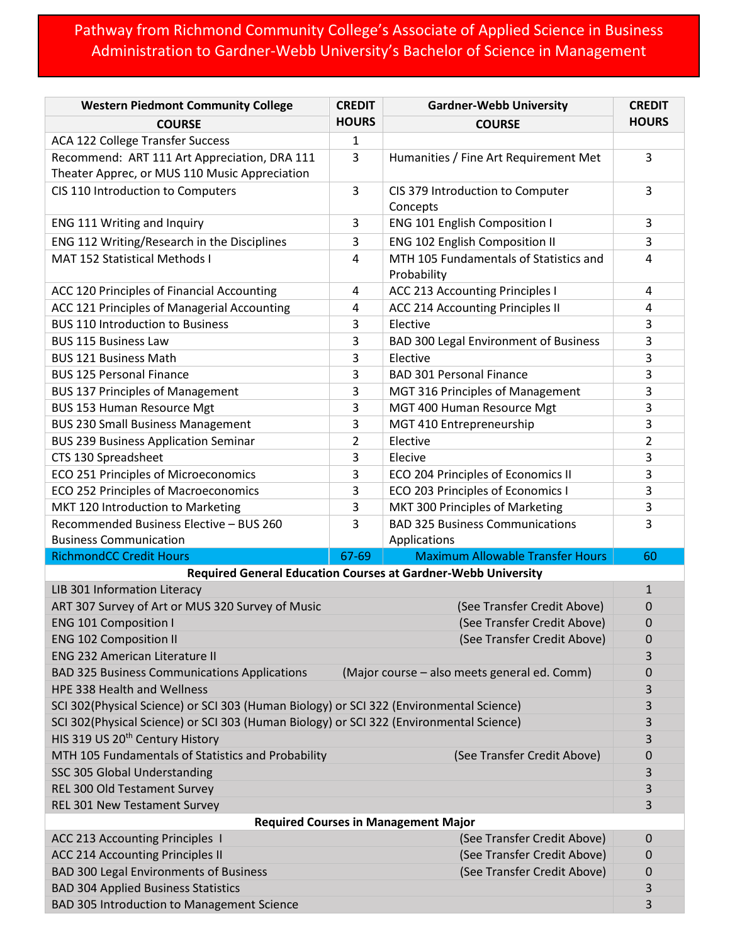## Pathway from Richmond Community College's Associate of Applied Science in Business Administration to Gardner-Webb University's Bachelor of Science in Management

| <b>Western Piedmont Community College</b>                                                           | <b>CREDIT</b>  | <b>Gardner-Webb University</b>                                | <b>CREDIT</b> |  |
|-----------------------------------------------------------------------------------------------------|----------------|---------------------------------------------------------------|---------------|--|
| <b>COURSE</b>                                                                                       | <b>HOURS</b>   | <b>COURSE</b>                                                 | <b>HOURS</b>  |  |
| <b>ACA 122 College Transfer Success</b>                                                             | 1              |                                                               |               |  |
| Recommend: ART 111 Art Appreciation, DRA 111<br>Theater Apprec, or MUS 110 Music Appreciation       | 3              | Humanities / Fine Art Requirement Met                         | 3             |  |
| CIS 110 Introduction to Computers                                                                   | $\overline{3}$ | CIS 379 Introduction to Computer<br>Concepts                  | 3             |  |
| ENG 111 Writing and Inquiry                                                                         | 3              | ENG 101 English Composition I                                 | 3             |  |
| ENG 112 Writing/Research in the Disciplines                                                         | 3              | <b>ENG 102 English Composition II</b>                         | 3             |  |
| MAT 152 Statistical Methods I                                                                       | $\overline{4}$ | MTH 105 Fundamentals of Statistics and                        | 4             |  |
|                                                                                                     |                | Probability                                                   |               |  |
| ACC 120 Principles of Financial Accounting                                                          | 4              | ACC 213 Accounting Principles I                               | 4             |  |
| ACC 121 Principles of Managerial Accounting                                                         | 4              | ACC 214 Accounting Principles II                              | 4             |  |
| <b>BUS 110 Introduction to Business</b>                                                             | 3              | Elective                                                      | 3             |  |
| <b>BUS 115 Business Law</b>                                                                         | 3              | <b>BAD 300 Legal Environment of Business</b>                  | 3             |  |
| <b>BUS 121 Business Math</b>                                                                        | 3              | Elective                                                      | 3             |  |
| <b>BUS 125 Personal Finance</b>                                                                     | 3              | <b>BAD 301 Personal Finance</b>                               | 3             |  |
| <b>BUS 137 Principles of Management</b>                                                             | 3              | MGT 316 Principles of Management                              | 3             |  |
| <b>BUS 153 Human Resource Mgt</b>                                                                   | 3              | MGT 400 Human Resource Mgt                                    | 3             |  |
| <b>BUS 230 Small Business Management</b>                                                            | 3              | MGT 410 Entrepreneurship                                      | 3             |  |
| <b>BUS 239 Business Application Seminar</b>                                                         | $\overline{2}$ | Elective                                                      | 2             |  |
| CTS 130 Spreadsheet                                                                                 | 3              | Elecive                                                       | 3             |  |
| ECO 251 Principles of Microeconomics                                                                | 3              | ECO 204 Principles of Economics II                            | 3             |  |
| ECO 252 Principles of Macroeconomics                                                                | 3              | ECO 203 Principles of Economics I                             | 3             |  |
| MKT 120 Introduction to Marketing                                                                   | 3              | MKT 300 Principles of Marketing                               | 3             |  |
| Recommended Business Elective - BUS 260                                                             | 3              | <b>BAD 325 Business Communications</b>                        | 3             |  |
| <b>Business Communication</b>                                                                       |                | Applications                                                  |               |  |
| <b>RichmondCC Credit Hours</b>                                                                      | 67-69          | <b>Maximum Allowable Transfer Hours</b>                       | 60            |  |
|                                                                                                     |                | Required General Education Courses at Gardner-Webb University |               |  |
| LIB 301 Information Literacy                                                                        |                |                                                               | $\mathbf{1}$  |  |
| ART 307 Survey of Art or MUS 320 Survey of Music                                                    |                | (See Transfer Credit Above)                                   | 0             |  |
| <b>ENG 101 Composition I</b>                                                                        |                | (See Transfer Credit Above)                                   | 0             |  |
| <b>ENG 102 Composition II</b>                                                                       |                | (See Transfer Credit Above)                                   | 0             |  |
| <b>ENG 232 American Literature II</b>                                                               |                |                                                               | 3             |  |
| <b>BAD 325 Business Communications Applications</b><br>(Major course - also meets general ed. Comm) |                |                                                               | 0             |  |
| <b>HPE 338 Health and Wellness</b>                                                                  |                |                                                               | 3             |  |
| SCI 302(Physical Science) or SCI 303 (Human Biology) or SCI 322 (Environmental Science)             |                |                                                               | 3             |  |
| SCI 302(Physical Science) or SCI 303 (Human Biology) or SCI 322 (Environmental Science)             |                |                                                               | 3             |  |
| HIS 319 US 20 <sup>th</sup> Century History                                                         |                |                                                               | 3             |  |
| MTH 105 Fundamentals of Statistics and Probability                                                  |                | (See Transfer Credit Above)                                   | 0             |  |
| SSC 305 Global Understanding                                                                        |                |                                                               | 3             |  |
| REL 300 Old Testament Survey                                                                        |                |                                                               | 3             |  |
| REL 301 New Testament Survey                                                                        |                |                                                               | 3             |  |
| <b>Required Courses in Management Major</b>                                                         |                |                                                               |               |  |
| ACC 213 Accounting Principles 1                                                                     |                | (See Transfer Credit Above)                                   | 0             |  |
| <b>ACC 214 Accounting Principles II</b>                                                             |                | (See Transfer Credit Above)                                   | 0             |  |
| <b>BAD 300 Legal Environments of Business</b>                                                       |                | (See Transfer Credit Above)                                   | 0             |  |
| <b>BAD 304 Applied Business Statistics</b>                                                          |                |                                                               | 3             |  |
| BAD 305 Introduction to Management Science                                                          |                |                                                               | 3             |  |